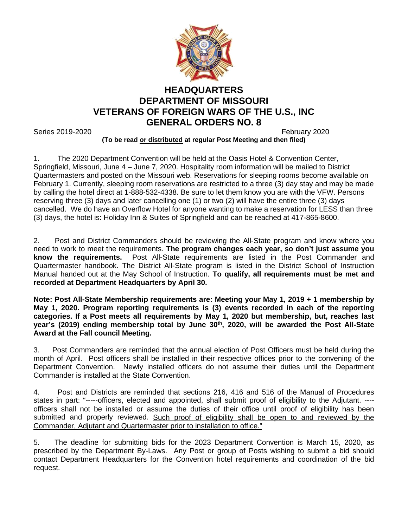

## **HEADQUARTERS DEPARTMENT OF MISSOURI VETERANS OF FOREIGN WARS OF THE U.S., INC GENERAL ORDERS NO. 8**

Series 2019-2020 **February 2020 February 2020** 

## **(To be read or distributed at regular Post Meeting and then filed)**

1. The 2020 Department Convention will be held at the Oasis Hotel & Convention Center, Springfield, Missouri, June 4 – June 7, 2020. Hospitality room information will be mailed to District Quartermasters and posted on the Missouri web. Reservations for sleeping rooms become available on February 1. Currently, sleeping room reservations are restricted to a three (3) day stay and may be made by calling the hotel direct at 1-888-532-4338. Be sure to let them know you are with the VFW. Persons reserving three (3) days and later cancelling one (1) or two (2) will have the entire three (3) days cancelled. We do have an Overflow Hotel for anyone wanting to make a reservation for LESS than three (3) days, the hotel is: Holiday Inn & Suites of Springfield and can be reached at 417-865-8600.

2. Post and District Commanders should be reviewing the All-State program and know where you need to work to meet the requirements. **The program changes each year, so don't just assume you know the requirements.** Post All-State requirements are listed in the Post Commander and Quartermaster handbook. The District All-State program is listed in the District School of Instruction Manual handed out at the May School of Instruction. **To qualify, all requirements must be met and recorded at Department Headquarters by April 30.**

**Note: Post All-State Membership requirements are: Meeting your May 1, 2019 + 1 membership by May 1, 2020. Program reporting requirements is (3) events recorded in each of the reporting categories. If a Post meets all requirements by May 1, 2020 but membership, but, reaches last**  year's (2019) ending membership total by June 30<sup>th</sup>, 2020, will be awarded the Post All-State **Award at the Fall council Meeting.**

3. Post Commanders are reminded that the annual election of Post Officers must be held during the month of April. Post officers shall be installed in their respective offices prior to the convening of the Department Convention. Newly installed officers do not assume their duties until the Department Commander is installed at the State Convention.

4. Post and Districts are reminded that sections 216, 416 and 516 of the Manual of Procedures states in part: "-----officers, elected and appointed, shall submit proof of eligibility to the Adjutant. --- officers shall not be installed or assume the duties of their office until proof of eligibility has been submitted and properly reviewed. Such proof of eligibility shall be open to and reviewed by the Commander, Adjutant and Quartermaster prior to installation to office."

5. The deadline for submitting bids for the 2023 Department Convention is March 15, 2020, as prescribed by the Department By-Laws. Any Post or group of Posts wishing to submit a bid should contact Department Headquarters for the Convention hotel requirements and coordination of the bid request.